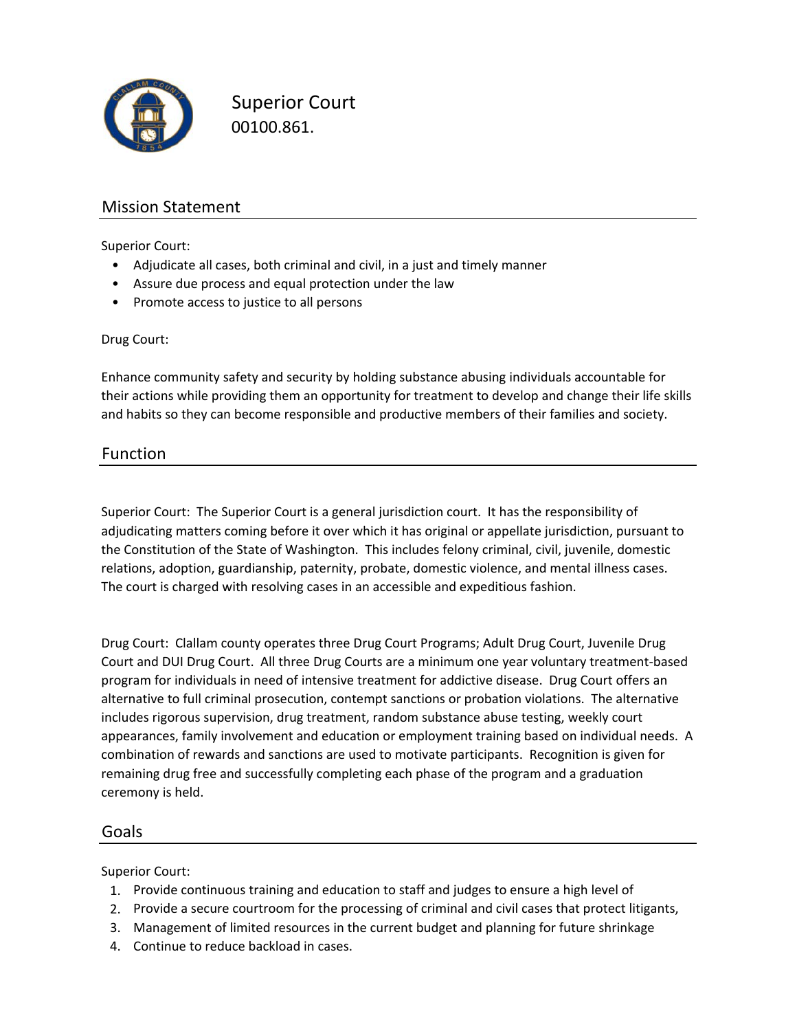

Superior Court 00100.861.

# Mission Statement

Superior Court:

- Adjudicate all cases, both criminal and civil, in a just and timely manner
- Assure due process and equal protection under the law
- Promote access to justice to all persons

#### Drug Court:

Enhance community safety and security by holding substance abusing individuals accountable for their actions while providing them an opportunity for treatment to develop and change their life skills and habits so they can become responsible and productive members of their families and society.

## Function

Superior Court: The Superior Court is a general jurisdiction court. It has the responsibility of adjudicating matters coming before it over which it has original or appellate jurisdiction, pursuant to the Constitution of the State of Washington. This includes felony criminal, civil, juvenile, domestic relations, adoption, guardianship, paternity, probate, domestic violence, and mental illness cases. The court is charged with resolving cases in an accessible and expeditious fashion.

Drug Court: Clallam county operates three Drug Court Programs; Adult Drug Court, Juvenile Drug Court and DUI Drug Court. All three Drug Courts are a minimum one year voluntary treatment‐based program for individuals in need of intensive treatment for addictive disease. Drug Court offers an alternative to full criminal prosecution, contempt sanctions or probation violations. The alternative includes rigorous supervision, drug treatment, random substance abuse testing, weekly court appearances, family involvement and education or employment training based on individual needs. A combination of rewards and sanctions are used to motivate participants. Recognition is given for remaining drug free and successfully completing each phase of the program and a graduation ceremony is held.

### Goals

Superior Court:

- 1. Provide continuous training and education to staff and judges to ensure a high level of
- 2. Provide a secure courtroom for the processing of criminal and civil cases that protect litigants,
- 3. Management of limited resources in the current budget and planning for future shrinkage
- 4. Continue to reduce backload in cases.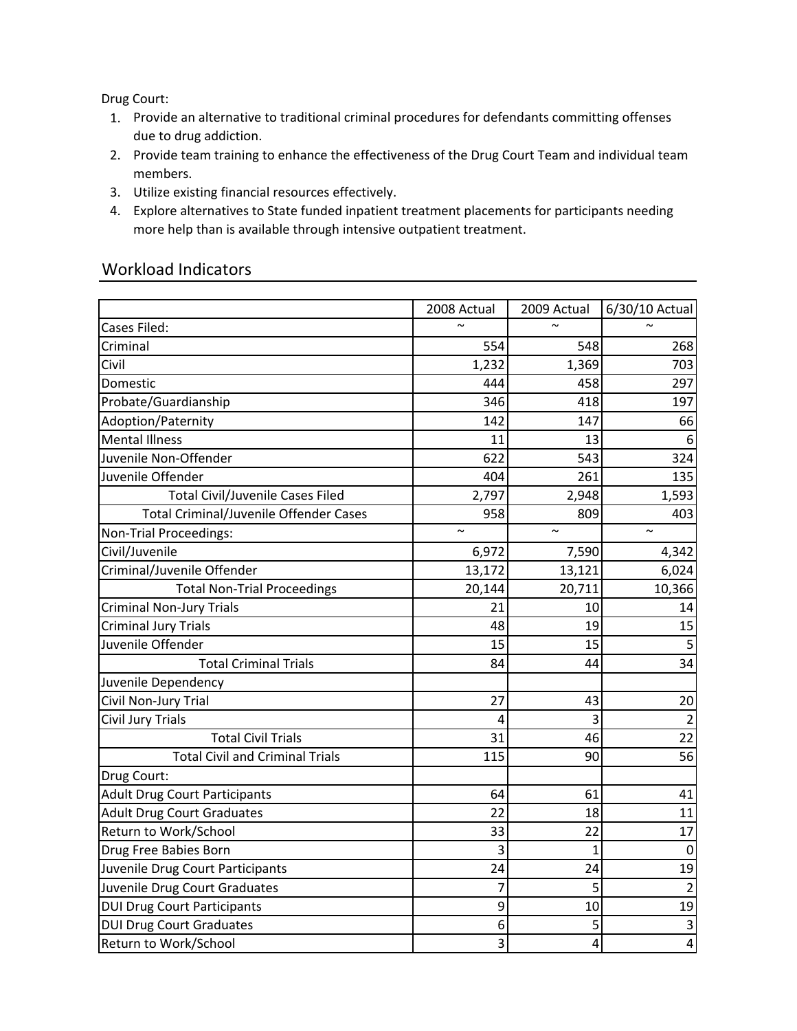Drug Court:

- 1. Provide an alternative to traditional criminal procedures for defendants committing offenses due to drug addiction.
- 2. Provide team training to enhance the effectiveness of the Drug Court Team and individual team members.
- 3. Utilize existing financial resources effectively.
- 4. Explore alternatives to State funded inpatient treatment placements for participants needing more help than is available through intensive outpatient treatment.

## Workload Indicators

|                                         | 2008 Actual | 2009 Actual  | 6/30/10 Actual          |
|-----------------------------------------|-------------|--------------|-------------------------|
| Cases Filed:                            | $\sim$      | $\sim$       | $\sim$                  |
| Criminal                                | 554         | 548          | 268                     |
| Civil                                   | 1,232       | 1,369        | 703                     |
| Domestic                                | 444         | 458          | 297                     |
| Probate/Guardianship                    | 346         | 418          | 197                     |
| Adoption/Paternity                      | 142         | 147          | 66                      |
| <b>Mental Illness</b>                   | 11          | 13           | 6                       |
| Juvenile Non-Offender                   | 622         | 543          | 324                     |
| Juvenile Offender                       | 404         | 261          | 135                     |
| <b>Total Civil/Juvenile Cases Filed</b> | 2,797       | 2,948        | 1,593                   |
| Total Criminal/Juvenile Offender Cases  | 958         | 809          | 403                     |
| Non-Trial Proceedings:                  | $\sim$      | $\sim$       | $\sim$                  |
| Civil/Juvenile                          | 6,972       | 7,590        | 4,342                   |
| Criminal/Juvenile Offender              | 13,172      | 13,121       | 6,024                   |
| <b>Total Non-Trial Proceedings</b>      | 20,144      | 20,711       | 10,366                  |
| Criminal Non-Jury Trials                | 21          | 10           | 14                      |
| <b>Criminal Jury Trials</b>             | 48          | 19           | 15                      |
| Juvenile Offender                       | 15          | 15           | 5                       |
| <b>Total Criminal Trials</b>            | 84          | 44           | 34                      |
| Juvenile Dependency                     |             |              |                         |
| Civil Non-Jury Trial                    | 27          | 43           | 20                      |
| Civil Jury Trials                       | 4           | 3            | $\overline{2}$          |
| <b>Total Civil Trials</b>               | 31          | 46           | 22                      |
| <b>Total Civil and Criminal Trials</b>  | 115         | 90           | $\overline{56}$         |
| Drug Court:                             |             |              |                         |
| <b>Adult Drug Court Participants</b>    | 64          | 61           | 41                      |
| <b>Adult Drug Court Graduates</b>       | 22          | 18           | 11                      |
| Return to Work/School                   | 33          | 22           | 17                      |
| Drug Free Babies Born                   | 3           | $\mathbf{1}$ | $\boldsymbol{0}$        |
| Juvenile Drug Court Participants        | 24          | 24           | 19                      |
| Juvenile Drug Court Graduates           | 7           | 5            | $\overline{2}$          |
| <b>DUI Drug Court Participants</b>      | 9           | 10           | 19                      |
| <b>DUI Drug Court Graduates</b>         | 6           | 5            | $\overline{\mathbf{3}}$ |
| Return to Work/School                   | 3           | 4            | $\overline{4}$          |